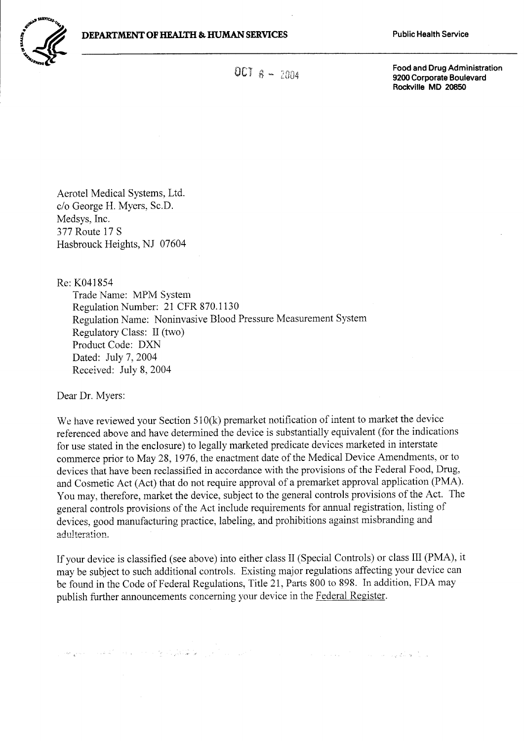

OCT  $a - 2004$ 

Food and Drug Administration 9200 Corporate Boulevard Rockville MD 20850

Aerotel Medical Systems, Ltd. c/o George H. Myers, Sc.D. Medsys, Inc. 377 Route 17 S Hasbrouck Heights, NJ 07604

Re: K041854 Trade Name: MPM System Regulation Number: 21 CFR 870.1130 Regulation Name: Noninvasive Blood Pressure Measurement System Regulatory Class: II (two) Product Code: DXN Dated: July 7, 2004 Received: July 8, 2004

Dear Dr. Myers:

We have reviewed your Section 510(k) premarket notification of intent to market the device referenced above and have determined the device is substantially equivalent (for the indications for use stated in the enclosure) to legally marketed predicate devices marketed in interstate commerce prior to May 28, 1976, the enactment date of the Medical Device Amendments, or to devices that have been reclassified in accordance with the provisions of the Federal Food, Drug, and Cosmetic Act (Act) that do not require approval of a premarket approval application (PMA). You may, therefore, market the device, subject to the general controls provisions of the Act. The general controls provisions of the Act include requirements for annual registration, listing of devices, good manufacturing practice, Iabeling, and prohibitions against misbranding and adulteration.

If your device is classified (see above) into either class II (Special Controls) or class IIi (PMA), it may be subject to such additional controls. Existing major regulations affecting your device can be found in the Code of Federal Regulations, Title 21, Parts 800 to 898. In addition, FDA may publish further announcements concerning your device in the Federal Register.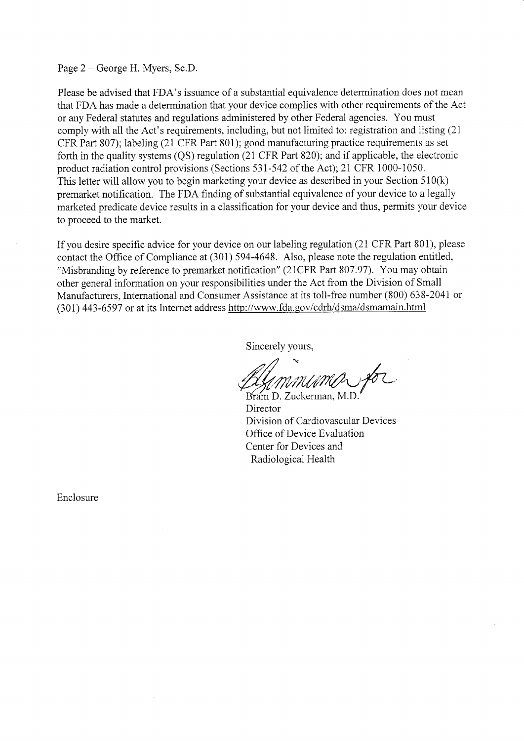Page 2 – George H. Myers, Sc.D.

Please be advised that FDA's issuance of a substantial equivalence determination does not mean that FDA has made a determination that your device complies with other requirements of the Act or any Federal statutes and regulations administered by other Federal agencies. You must comply with all the Act's requirements, including, but not limited to: registration and listing (21 CFR Part 807); labeling (21 CFR Part 801); good manufacturing practice requirements as set forth in the quality systems (QS) regulation (21 CFR Part 820); and if applicable, the electronic product radiation control provisions (Sections 531-542 of the Act);2I CFR 1000-1050, This letter will allow you to begin marketing your device as described in your Section 510(k) premarket notification. The FDA finding of substantial equivalence of your device to a legally marketed predicate device results in a classification for your device and thus, permits your device to proceed to the market.

If you desire specific advice for your device on our labeling regulation (21 CFR Part 801), please contact the Office of Compliance at (301) 594-4648. Also, please note the regulation entitled, "Misbranding by reference to premarket notification" (21CFR Part 807.97). You may obtain other general information on your responsibilities under the Act from the Division of Small Manufacturers, International and Consumer Assistance at its toll-free number (800) 638-2041 or (301) 443-6597 or at its lnternet address http://www.fda.gov/cdrh/dsma/dsmamain.html

Sincerelv vours.

 $n/$ July *MMUMO* for

Director Division of Cardiovascular Devices Office of Device Evaluation Center for Devices and Radiolosical Health

Enclosure